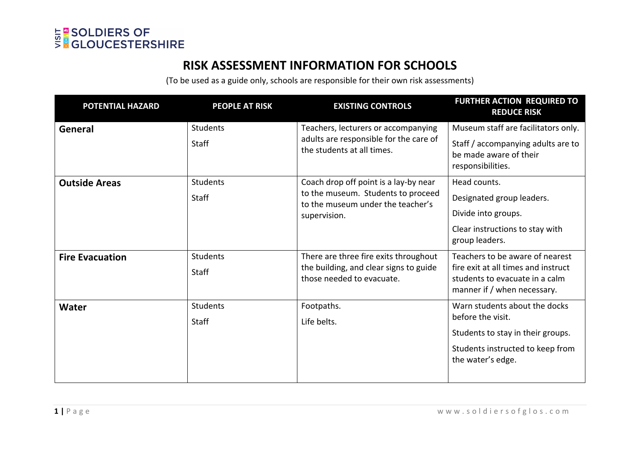

## **RISK ASSESSMENT INFORMATION FOR SCHOOLS**

(To be used as a guide only, schools are responsible for their own risk assessments)

| POTENTIAL HAZARD       | <b>PEOPLE AT RISK</b> | <b>EXISTING CONTROLS</b>                                                                                                         | <b>FURTHER ACTION REQUIRED TO</b><br><b>REDUCE RISK</b>                                                                                 |
|------------------------|-----------------------|----------------------------------------------------------------------------------------------------------------------------------|-----------------------------------------------------------------------------------------------------------------------------------------|
| General                | <b>Students</b>       | Teachers, lecturers or accompanying                                                                                              | Museum staff are facilitators only.                                                                                                     |
|                        | <b>Staff</b>          | adults are responsible for the care of<br>the students at all times.                                                             | Staff / accompanying adults are to<br>be made aware of their<br>responsibilities.                                                       |
| <b>Outside Areas</b>   | <b>Students</b>       | Coach drop off point is a lay-by near<br>to the museum. Students to proceed<br>to the museum under the teacher's<br>supervision. | Head counts.                                                                                                                            |
|                        | <b>Staff</b>          |                                                                                                                                  | Designated group leaders.                                                                                                               |
|                        |                       |                                                                                                                                  | Divide into groups.                                                                                                                     |
|                        |                       |                                                                                                                                  | Clear instructions to stay with<br>group leaders.                                                                                       |
| <b>Fire Evacuation</b> | <b>Students</b>       | There are three fire exits throughout<br>the building, and clear signs to guide<br>those needed to evacuate.                     | Teachers to be aware of nearest<br>fire exit at all times and instruct<br>students to evacuate in a calm<br>manner if / when necessary. |
|                        | Staff                 |                                                                                                                                  |                                                                                                                                         |
| <b>Water</b>           | Students              | Footpaths.                                                                                                                       | Warn students about the docks<br>before the visit.                                                                                      |
|                        | <b>Staff</b>          | Life belts.                                                                                                                      |                                                                                                                                         |
|                        |                       |                                                                                                                                  | Students to stay in their groups.                                                                                                       |
|                        |                       |                                                                                                                                  | Students instructed to keep from<br>the water's edge.                                                                                   |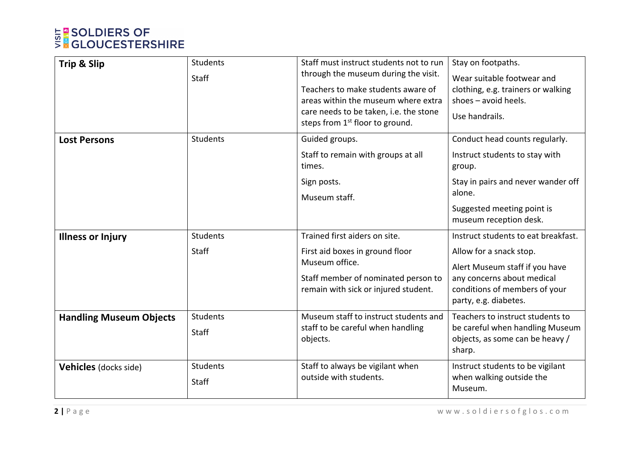## **E SOLDIERS OF<br>SNGLOUCESTERSHIRE**

| Trip & Slip                    | <b>Students</b><br>Staff | Staff must instruct students not to run<br>through the museum during the visit.<br>Teachers to make students aware of<br>areas within the museum where extra<br>care needs to be taken, i.e. the stone<br>steps from 1 <sup>st</sup> floor to ground. | Stay on footpaths.<br>Wear suitable footwear and<br>clothing, e.g. trainers or walking<br>shoes $-$ avoid heels.<br>Use handrails.                                                       |
|--------------------------------|--------------------------|-------------------------------------------------------------------------------------------------------------------------------------------------------------------------------------------------------------------------------------------------------|------------------------------------------------------------------------------------------------------------------------------------------------------------------------------------------|
| <b>Lost Persons</b>            | <b>Students</b>          | Guided groups.<br>Staff to remain with groups at all<br>times.                                                                                                                                                                                        | Conduct head counts regularly.<br>Instruct students to stay with<br>group.                                                                                                               |
|                                |                          | Sign posts.<br>Museum staff.                                                                                                                                                                                                                          | Stay in pairs and never wander off<br>alone.<br>Suggested meeting point is<br>museum reception desk.                                                                                     |
| <b>Illness or Injury</b>       | <b>Students</b><br>Staff | Trained first aiders on site.<br>First aid boxes in ground floor<br>Museum office.<br>Staff member of nominated person to<br>remain with sick or injured student.                                                                                     | Instruct students to eat breakfast.<br>Allow for a snack stop.<br>Alert Museum staff if you have<br>any concerns about medical<br>conditions of members of your<br>party, e.g. diabetes. |
| <b>Handling Museum Objects</b> | <b>Students</b><br>Staff | Museum staff to instruct students and<br>staff to be careful when handling<br>objects.                                                                                                                                                                | Teachers to instruct students to<br>be careful when handling Museum<br>objects, as some can be heavy /<br>sharp.                                                                         |
| <b>Vehicles</b> (docks side)   | <b>Students</b><br>Staff | Staff to always be vigilant when<br>outside with students.                                                                                                                                                                                            | Instruct students to be vigilant<br>when walking outside the<br>Museum.                                                                                                                  |